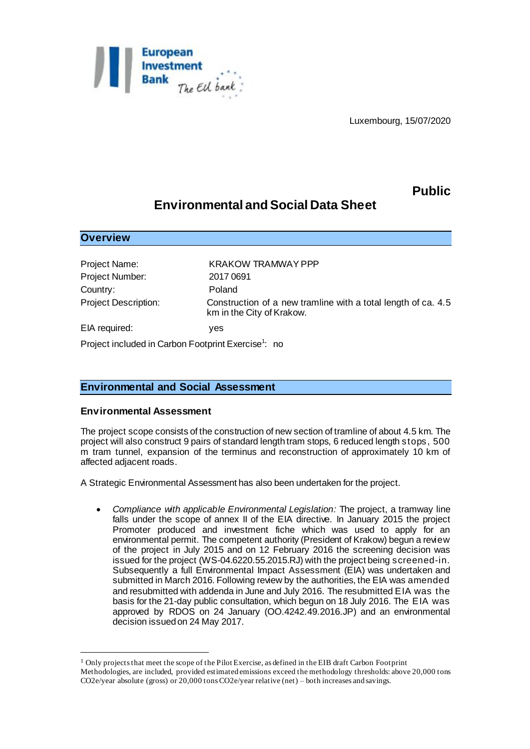

Luxembourg, 15/07/2020

## **Public**

# **Environmental and Social Data Sheet**

Project Number: 2017 0691 Country: Poland

**Overview**

l

Project Name: KRAKOW TRAMWAY PPP Project Description: Construction of a new tramline with a total length of ca. 4.5 km in the City of Krakow. EIA required: yes

Project included in Carbon Footprint Exercise<sup>1</sup>: no

## **Environmental and Social Assessment**

#### **Environmental Assessment**

The project scope consists of the construction of new section of tramline of about 4.5 km. The project will also construct 9 pairs of standard length tram stops, 6 reduced length stops, 500 m tram tunnel, expansion of the terminus and reconstruction of approximately 10 km of affected adjacent roads.

A Strategic Environmental Assessment has also been undertaken for the project.

 *Compliance with applicable Environmental Legislation:* The project, a tramway line falls under the scope of annex II of the EIA directive. In January 2015 the project Promoter produced and investment fiche which was used to apply for an environmental permit. The competent authority (President of Krakow) begun a review of the project in July 2015 and on 12 February 2016 the screening decision was issued for the project (WS-04.6220.55.2015.RJ) with the project being screened-in. Subsequently a full Environmental Impact Assessment (EIA) was undertaken and submitted in March 2016. Following review by the authorities, the EIA was amended and resubmitted with addenda in June and July 2016. The resubmitted EIA was the basis for the 21-day public consultation, which begun on 18 July 2016. The EIA was approved by RDOS on 24 January (OO.4242.49.2016.JP) and an environmental decision issued on 24 May 2017.

<sup>&</sup>lt;sup>1</sup> Only projects that meet the scope of the Pilot Exercise, as defined in the EIB draft Carbon Footprint Methodologies, are included, provided estimated emissions exceed the methodology thresholds: above 20,000 tons CO2e/year absolute (gross) or 20,000 tons CO2e/year relative (net) – both increases and savings.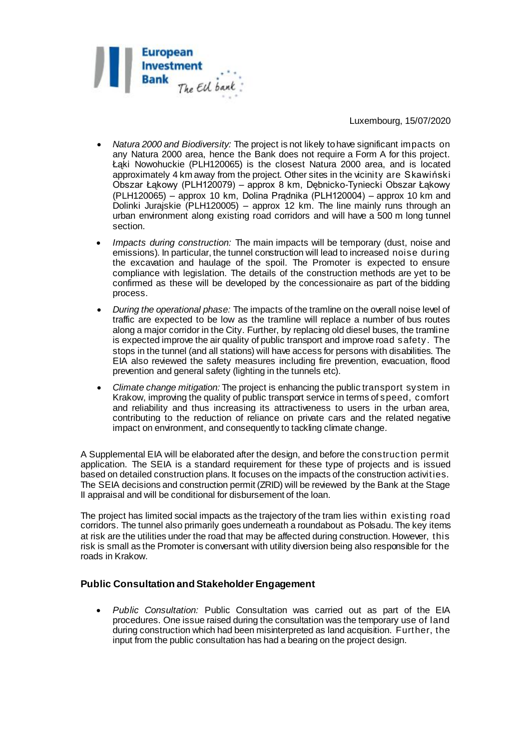

#### Luxembourg, 15/07/2020

- *Natura 2000 and Biodiversity:* The project is not likely to have significant impacts on any Natura 2000 area, hence the Bank does not require a Form A for this project. Łąki Nowohuckie (PLH120065) is the closest Natura 2000 area, and is located approximately 4 km away from the project. Other sites in the vicinity are Skawiński Obszar Łąkowy (PLH120079) – approx 8 km, Dębnicko-Tyniecki Obszar Łąkowy (PLH120065) – approx 10 km, Dolina Prądnika (PLH120004) – approx 10 km and Dolinki Jurajskie (PLH120005) – approx 12 km. The line mainly runs through an urban environment along existing road corridors and will have a 500 m long tunnel section.
- *Impacts during construction:* The main impacts will be temporary (dust, noise and emissions)*.* In particular, the tunnel construction will lead to increased noise during the excavation and haulage of the spoil. The Promoter is expected to ensure compliance with legislation. The details of the construction methods are yet to be confirmed as these will be developed by the concessionaire as part of the bidding process.
- *During the operational phase:* The impacts of the tramline on the overall noise level of traffic are expected to be low as the tramline will replace a number of bus routes along a major corridor in the City. Further, by replacing old diesel buses, the tramline is expected improve the air quality of public transport and improve road safety. The stops in the tunnel (and all stations) will have access for persons with disabilities. The EIA also reviewed the safety measures including fire prevention, evacuation, flood prevention and general safety (lighting in the tunnels etc).
- *Climate change mitigation:* The project is enhancing the public transport system in Krakow, improving the quality of public transport service in terms of speed, comfort and reliability and thus increasing its attractiveness to users in the urban area, contributing to the reduction of reliance on private cars and the related negative impact on environment, and consequently to tackling climate change*.*

A Supplemental EIA will be elaborated after the design, and before the construction permit application. The SEIA is a standard requirement for these type of projects and is issued based on detailed construction plans. It focuses on the impacts of the construction activities. The SEIA decisions and construction permit (ZRID) will be reviewed by the Bank at the Stage II appraisal and will be conditional for disbursement of the loan.

The project has limited social impacts as the trajectory of the tram lies within existing road corridors. The tunnel also primarily goes underneath a roundabout as Polsadu. The key items at risk are the utilities under the road that may be affected during construction. However, this risk is small as the Promoter is conversant with utility diversion being also responsible for the roads in Krakow.

## **Public Consultation and Stakeholder Engagement**

 *Public Consultation:* Public Consultation was carried out as part of the EIA procedures. One issue raised during the consultation was the temporary use of land during construction which had been misinterpreted as land acquisition. Further, the input from the public consultation has had a bearing on the project design.